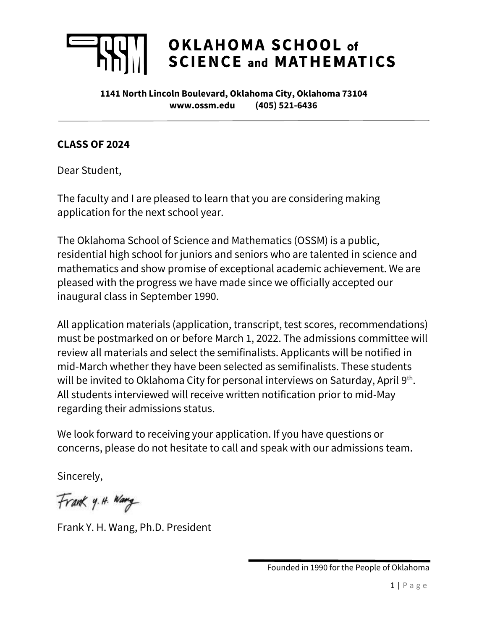# OKLAHOMA SCHOOL of **SCIENCE and MATHEMATICS**

**1141 North Lincoln Boulevard, Oklahoma City, Oklahoma 73104 www.ossm.edu (405) 521-6436**

# **CLASS OF 2024**

Dear Student,

The faculty and I are pleased to learn that you are considering making application for the next school year.

The Oklahoma School of Science and Mathematics (OSSM) is a public, residential high school for juniors and seniors who are talented in science and mathematics and show promise of exceptional academic achievement. We are pleased with the progress we have made since we officially accepted our inaugural class in September 1990.

All application materials (application, transcript, test scores, recommendations) must be postmarked on or before March 1, 2022. The admissions committee will review all materials and select the semifinalists. Applicants will be notified in mid-March whether they have been selected as semifinalists. These students will be invited to Oklahoma City for personal interviews on Saturday, April  $9<sup>th</sup>$ . All students interviewed will receive written notification prior to mid-May regarding their admissions status.

We look forward to receiving your application. If you have questions or concerns, please do not hesitate to call and speak with our admissions team.

Sincerely,

Frank y. H. Wang

Frank Y. H. Wang, Ph.D. President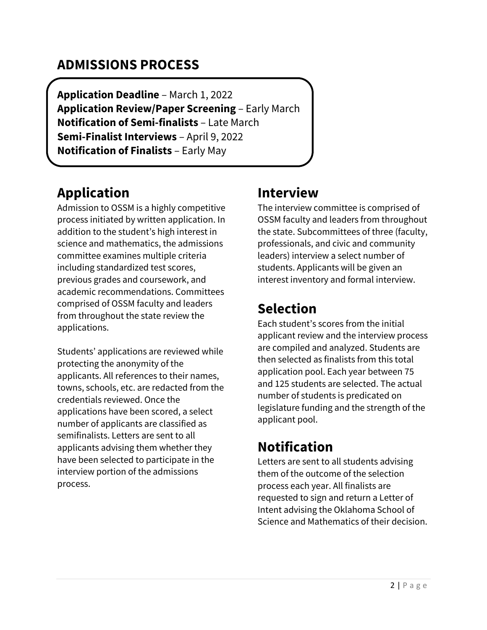# **ADMISSIONS PROCESS**

**Application Deadline** – March 1, 2022 **Application Review/Paper Screening** – Early March **Notification of Semi-finalists** – Late March **Semi-Finalist Interviews** – April 9, 2022 **Notification of Finalists** – Early May

# **Application**

Admission to OSSM is a highly competitive process initiated by written application. In addition to the student's high interest in science and mathematics, the admissions committee examines multiple criteria including standardized test scores, previous grades and coursework, and academic recommendations. Committees comprised of OSSM faculty and leaders from throughout the state review the applications.

Students' applications are reviewed while protecting the anonymity of the applicants. All references to their names, towns, schools, etc. are redacted from the credentials reviewed. Once the applications have been scored, a select number of applicants are classified as semifinalists. Letters are sent to all applicants advising them whether they have been selected to participate in the interview portion of the admissions process.

# **Interview**

The interview committee is comprised of OSSM faculty and leaders from throughout the state. Subcommittees of three (faculty, professionals, and civic and community leaders) interview a select number of students. Applicants will be given an interest inventory and formal interview.

# **Selection**

Each student's scores from the initial applicant review and the interview process are compiled and analyzed. Students are then selected as finalists from this total application pool. Each year between 75 and 125 students are selected. The actual number of students is predicated on legislature funding and the strength of the applicant pool.

# **Notification**

Letters are sent to all students advising them of the outcome of the selection process each year. All finalists are requested to sign and return a Letter of Intent advising the Oklahoma School of Science and Mathematics of their decision.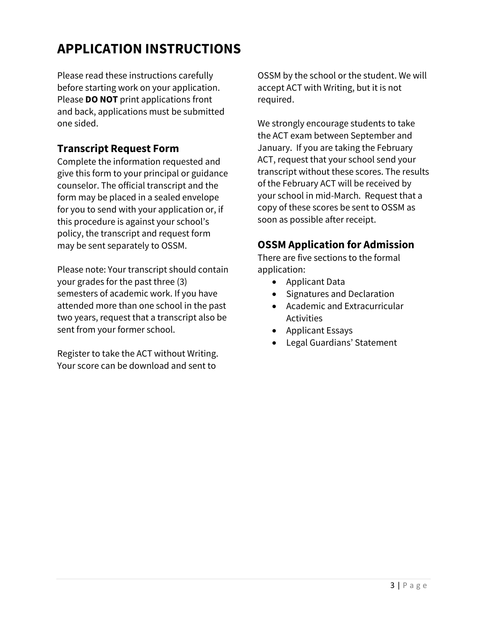# **APPLICATION INSTRUCTIONS**

Please read these instructions carefully before starting work on your application. Please **DO NOT** print applications front and back, applications must be submitted one sided.

# **Transcript Request Form**

Complete the information requested and give this form to your principal or guidance counselor. The official transcript and the form may be placed in a sealed envelope for you to send with your application or, if this procedure is against your school's policy, the transcript and request form may be sent separately to OSSM.

Please note: Your transcript should contain your grades for the past three (3) semesters of academic work. If you have attended more than one school in the past two years, request that a transcript also be sent from your former school.

Register to take the ACT without Writing. Your score can be download and sent to

OSSM by the school or the student. We will accept ACT with Writing, but it is not required.

We strongly encourage students to take the ACT exam between September and January. If you are taking the February ACT, request that your school send your transcript without these scores. The results of the February ACT will be received by your school in mid-March. Request that a copy of these scores be sent to OSSM as soon as possible after receipt.

# **OSSM Application for Admission**

There are five sections to the formal application:

- Applicant Data
- Signatures and Declaration
- Academic and Extracurricular Activities
- Applicant Essays
- Legal Guardians' Statement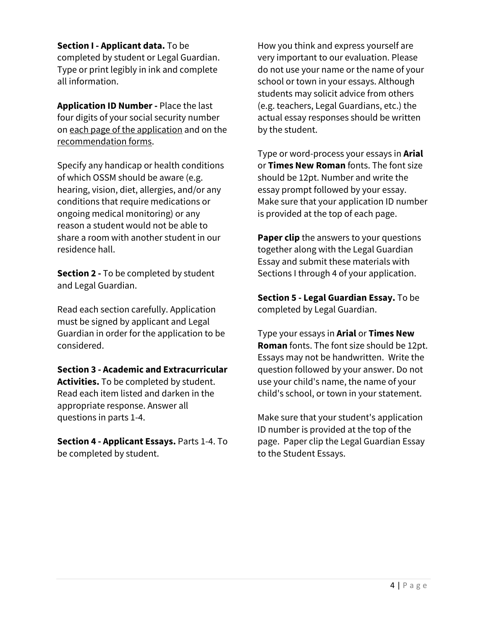**Section I - Applicant data.** To be completed by student or Legal Guardian. Type or print legibly in ink and complete all information.

**Application ID Number -** Place the last four digits of your social security number on each page of the application and on the recommendation forms.

Specify any handicap or health conditions of which OSSM should be aware (e.g. hearing, vision, diet, allergies, and/or any conditions that require medications or ongoing medical monitoring) or any reason a student would not be able to share a room with another student in our residence hall.

**Section 2 -** To be completed by student and Legal Guardian.

Read each section carefully. Application must be signed by applicant and Legal Guardian in order for the application to be considered.

**Section 3 - Academic and Extracurricular Activities.** To be completed by student. Read each item listed and darken in the appropriate response. Answer all questions in parts 1-4.

**Section 4 - Applicant Essays.** Parts 1-4. To be completed by student.

How you think and express yourself are very important to our evaluation. Please do not use your name or the name of your school or town in your essays. Although students may solicit advice from others (e.g. teachers, Legal Guardians, etc.) the actual essay responses should be written by the student.

Type or word-process your essays in **Arial** or **Times New Roman** fonts. The font size should be 12pt. Number and write the essay prompt followed by your essay. Make sure that your application ID number is provided at the top of each page.

**Paper clip** the answers to your questions together along with the Legal Guardian Essay and submit these materials with Sections I through 4 of your application.

**Section 5 - Legal Guardian Essay.** To be completed by Legal Guardian.

Type your essays in **Arial** or **Times New Roman** fonts. The font size should be 12pt. Essays may not be handwritten. Write the question followed by your answer. Do not use your child's name, the name of your child's school, or town in your statement.

Make sure that your student's application ID number is provided at the top of the page. Paper clip the Legal Guardian Essay to the Student Essays.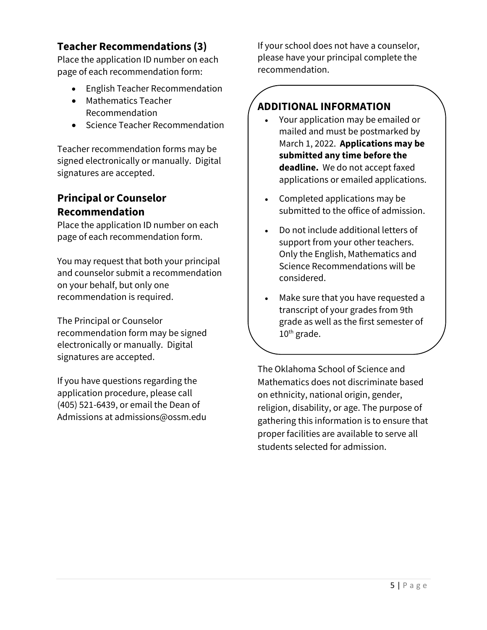# **Teacher Recommendations (3)**

Place the application ID number on each page of each recommendation form:

- English Teacher Recommendation
- Mathematics Teacher Recommendation
- Science Teacher Recommendation

Teacher recommendation forms may be signed electronically or manually. Digital signatures are accepted.

# **Principal or Counselor Recommendation**

Place the application ID number on each page of each recommendation form.

You may request that both your principal and counselor submit a recommendation on your behalf, but only one recommendation is required.

The Principal or Counselor recommendation form may be signed electronically or manually. Digital signatures are accepted.

If you have questions regarding the application procedure, please call (405) 521-6439, or email the Dean of Admissions at admissions@ossm.edu If your school does not have a counselor, please have your principal complete the recommendation.

# **ADDITIONAL INFORMATION**

- Your application may be emailed or mailed and must be postmarked by March 1, 2022. **Applications may be submitted any time before the deadline.** We do not accept faxed applications or emailed applications.
- Completed applications may be submitted to the office of admission.
- Do not include additional letters of support from your other teachers. Only the English, Mathematics and Science Recommendations will be considered.
- Make sure that you have requested a transcript of your grades from 9th grade as well as the first semester of 10<sup>th</sup> grade.

The Oklahoma School of Science and Mathematics does not discriminate based on ethnicity, national origin, gender, religion, disability, or age. The purpose of gathering this information is to ensure that proper facilities are available to serve all students selected for admission.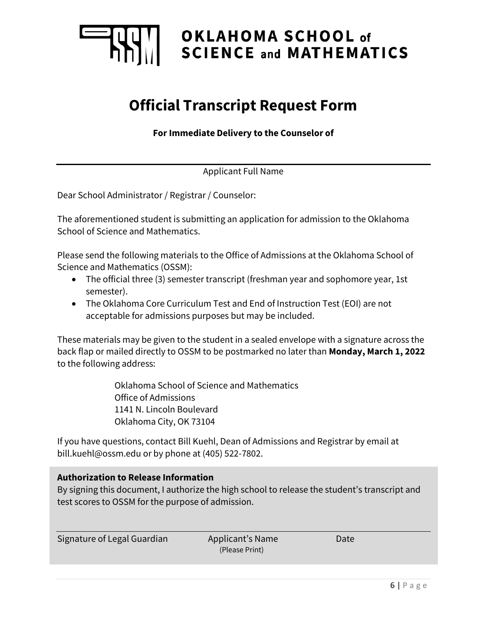

# OKLAHOMA SCHOOL of **SCIENCE and MATHEMATICS**

# **Official Transcript Request Form**

**For Immediate Delivery to the Counselor of**

Applicant Full Name

Dear School Administrator / Registrar / Counselor:

The aforementioned student is submitting an application for admission to the Oklahoma School of Science and Mathematics.

Please send the following materials to the Office of Admissions at the Oklahoma School of Science and Mathematics (OSSM):

- The official three (3) semester transcript (freshman year and sophomore year, 1st semester).
- The Oklahoma Core Curriculum Test and End of Instruction Test (EOI) are not acceptable for admissions purposes but may be included.

These materials may be given to the student in a sealed envelope with a signature across the back flap or mailed directly to OSSM to be postmarked no later than **Monday, March 1, 2022** to the following address:

> Oklahoma School of Science and Mathematics Office of Admissions 1141 N. Lincoln Boulevard Oklahoma City, OK 73104

If you have questions, contact Bill Kuehl, Dean of Admissions and Registrar by email at bill.kuehl@ossm.edu or by phone at (405) 522-7802.

## **Authorization to Release Information**

By signing this document, I authorize the high school to release the student's transcript and test scores to OSSM for the purpose of admission.

Signature of Legal Guardian Applicant's Name Date

(Please Print)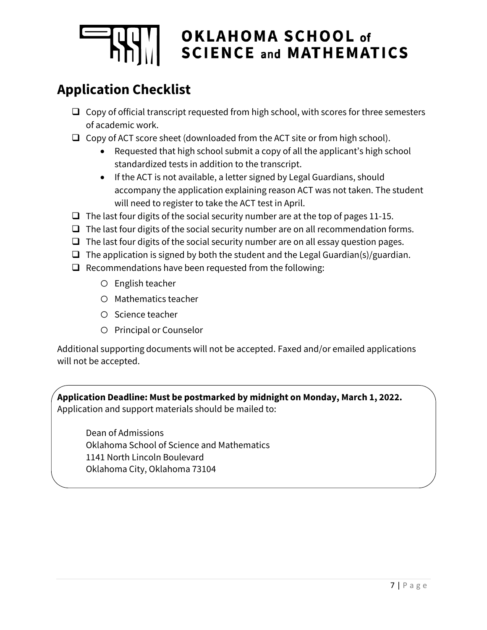

# OKLAHOMA SCHOOL of **SCIENCE and MATHEMATICS**

# **Application Checklist**

- $\Box$  Copy of official transcript requested from high school, with scores for three semesters of academic work.
- $\Box$  Copy of ACT score sheet (downloaded from the ACT site or from high school).
	- Requested that high school submit a copy of all the applicant's high school standardized tests in addition to the transcript.
	- If the ACT is not available, a letter signed by Legal Guardians, should accompany the application explaining reason ACT was not taken. The student will need to register to take the ACT test in April.
- $\Box$  The last four digits of the social security number are at the top of pages 11-15.
- $\Box$  The last four digits of the social security number are on all recommendation forms.
- $\Box$  The last four digits of the social security number are on all essay question pages.
- $\Box$  The application is signed by both the student and the Legal Guardian(s)/guardian.
- $\Box$  Recommendations have been requested from the following:
	- o English teacher
	- o Mathematics teacher
	- o Science teacher
	- o Principal or Counselor

Additional supporting documents will not be accepted. Faxed and/or emailed applications will not be accepted.

**Application Deadline: Must be postmarked by midnight on Monday, March 1, 2022.**  Application and support materials should be mailed to:

Dean of Admissions Oklahoma School of Science and Mathematics 1141 North Lincoln Boulevard Oklahoma City, Oklahoma 73104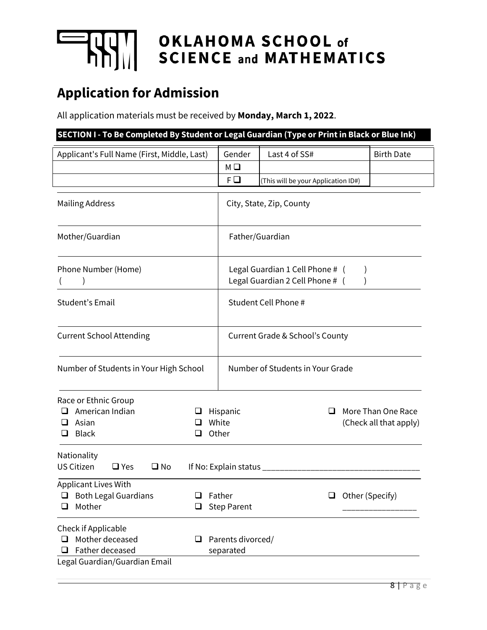

# **THE OKLAHOMA SCHOOL of**<br>
SCIENCE and MATHEMATICS

# **Application for Admission**

All application materials must be received by **Monday, March 1, 2022**.

| SECTION I - To Be Completed By Student or Legal Guardian (Type or Print in Black or Blue Ink)             |  |                                                                    |                                     |  |                                              |  |  |
|-----------------------------------------------------------------------------------------------------------|--|--------------------------------------------------------------------|-------------------------------------|--|----------------------------------------------|--|--|
| Applicant's Full Name (First, Middle, Last)                                                               |  | Gender<br>МΩ                                                       | Last 4 of SS#                       |  | <b>Birth Date</b>                            |  |  |
|                                                                                                           |  | F□                                                                 | (This will be your Application ID#) |  |                                              |  |  |
| <b>Mailing Address</b>                                                                                    |  |                                                                    | City, State, Zip, County            |  |                                              |  |  |
| Mother/Guardian                                                                                           |  |                                                                    | Father/Guardian                     |  |                                              |  |  |
| Phone Number (Home)                                                                                       |  | Legal Guardian 1 Cell Phone # (<br>Legal Guardian 2 Cell Phone # ( |                                     |  |                                              |  |  |
| Student's Email                                                                                           |  |                                                                    | Student Cell Phone #                |  |                                              |  |  |
| <b>Current School Attending</b>                                                                           |  | <b>Current Grade &amp; School's County</b>                         |                                     |  |                                              |  |  |
| Number of Students in Your High School                                                                    |  |                                                                    | Number of Students in Your Grade    |  |                                              |  |  |
| Race or Ethnic Group<br>American Indian<br>⊔<br>$\Box$ Asian<br>ப<br>Black<br>⊔                           |  | Hispanic<br>White<br>Other                                         | ப                                   |  | More Than One Race<br>(Check all that apply) |  |  |
| Nationality<br><b>US Citizen</b><br>$\Box$ Yes<br>$\square$ No                                            |  | If No: Explain status ___                                          |                                     |  |                                              |  |  |
| Applicant Lives With<br><b>Both Legal Guardians</b><br>ப<br>ப<br>Mother<br>⊔<br>❏                         |  | Father<br>Other (Specify)<br>❏<br><b>Step Parent</b>               |                                     |  |                                              |  |  |
| Check if Applicable<br>Mother deceased<br>ப<br>⊔<br>Father deceased<br>ப<br>Legal Guardian/Guardian Email |  | Parents divorced/<br>separated                                     |                                     |  |                                              |  |  |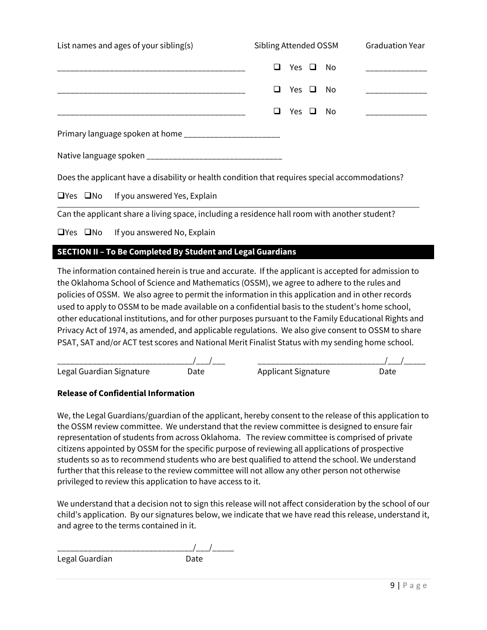| List names and ages of your sibling(s)                                                         | Sibling Attended OSSM  | <b>Graduation Year</b> |  |
|------------------------------------------------------------------------------------------------|------------------------|------------------------|--|
|                                                                                                | Yes $\Box$<br>- No     |                        |  |
|                                                                                                | Yes $\Box$<br>No       |                        |  |
|                                                                                                | Yes $\Box$<br>No.<br>ப |                        |  |
| Primary language spoken at home ______________________                                         |                        |                        |  |
|                                                                                                |                        |                        |  |
| Does the applicant have a disability or health condition that requires special accommodations? |                        |                        |  |
| $\Box$ Yes $\Box$ No<br>If you answered Yes, Explain                                           |                        |                        |  |

Can the applicant share a living space, including a residence hall room with another student?

 $\Box$ Yes  $\Box$ No If you answered No, Explain

## **SECTION II – To Be Completed By Student and Legal Guardians**

The information contained herein is true and accurate. If the applicant is accepted for admission to the Oklahoma School of Science and Mathematics (OSSM), we agree to adhere to the rules and policies of OSSM. We also agree to permit the information in this application and in other records used to apply to OSSM to be made available on a confidential basis to the student's home school, other educational institutions, and for other purposes pursuant to the Family Educational Rights and Privacy Act of 1974, as amended, and applicable regulations. We also give consent to OSSM to share PSAT, SAT and/or ACT test scores and National Merit Finalist Status with my sending home school.

| Legal Guardian Signature | )ate | Applicant Signature |  |
|--------------------------|------|---------------------|--|

#### **Release of Confidential Information**

We, the Legal Guardians/guardian of the applicant, hereby consent to the release of this application to the OSSM review committee. We understand that the review committee is designed to ensure fair representation of students from across Oklahoma. The review committee is comprised of private citizens appointed by OSSM for the specific purpose of reviewing all applications of prospective students so as to recommend students who are best qualified to attend the school. We understand further that this release to the review committee will not allow any other person not otherwise privileged to review this application to have access to it.

We understand that a decision not to sign this release will not affect consideration by the school of our child's application. By our signatures below, we indicate that we have read this release, understand it, and agree to the terms contained in it.

\_\_\_\_\_\_\_\_\_\_\_\_\_\_\_\_\_\_\_\_\_\_\_\_\_\_\_\_\_\_\_/\_\_\_/\_\_\_\_\_ Legal Guardian **Date**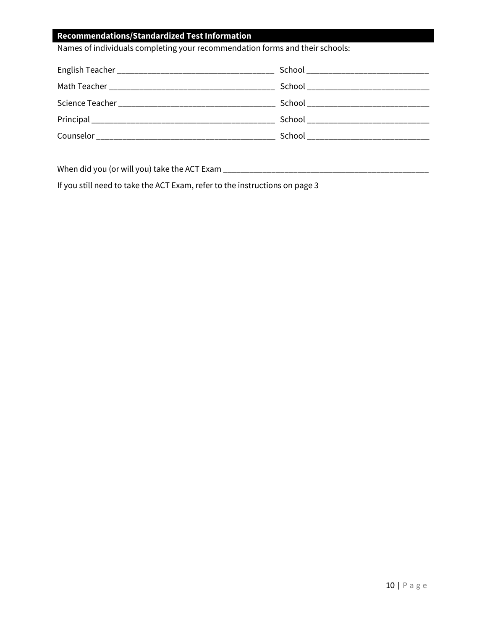## **Recommendations/Standardized Test Information**

Names of individuals completing your recommendation forms and their schools:

| Science Teacher Network and Science Teacher |                                     |
|---------------------------------------------|-------------------------------------|
|                                             | School ____________________________ |
|                                             | School __________________________   |

When did you (or will you) take the ACT Exam \_\_\_\_\_\_\_\_\_\_\_\_\_\_\_\_\_\_\_\_\_\_\_\_\_\_\_\_\_\_\_\_\_\_\_\_\_\_\_\_\_\_\_\_\_\_\_

If you still need to take the ACT Exam, refer to the instructions on page 3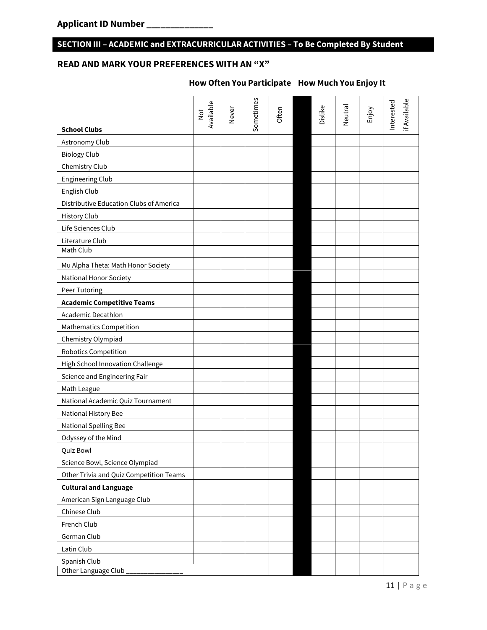## **SECTION III – ACADEMIC and EXTRACURRICULAR ACTIVITIES – To Be Completed By Student**

# **READ AND MARK YOUR PREFERENCES WITH AN "X"**

| <b>School Clubs</b>                     | Available<br>Not | Never | Sometimes | Often | Dislike | Neutral | Enjoy | if Available<br>Interested |
|-----------------------------------------|------------------|-------|-----------|-------|---------|---------|-------|----------------------------|
| Astronomy Club                          |                  |       |           |       |         |         |       |                            |
|                                         |                  |       |           |       |         |         |       |                            |
| <b>Biology Club</b>                     |                  |       |           |       |         |         |       |                            |
| Chemistry Club                          |                  |       |           |       |         |         |       |                            |
| <b>Engineering Club</b>                 |                  |       |           |       |         |         |       |                            |
| English Club                            |                  |       |           |       |         |         |       |                            |
| Distributive Education Clubs of America |                  |       |           |       |         |         |       |                            |
| <b>History Club</b>                     |                  |       |           |       |         |         |       |                            |
| Life Sciences Club                      |                  |       |           |       |         |         |       |                            |
| Literature Club<br>Math Club            |                  |       |           |       |         |         |       |                            |
|                                         |                  |       |           |       |         |         |       |                            |
| Mu Alpha Theta: Math Honor Society      |                  |       |           |       |         |         |       |                            |
| <b>National Honor Society</b>           |                  |       |           |       |         |         |       |                            |
| Peer Tutoring                           |                  |       |           |       |         |         |       |                            |
| <b>Academic Competitive Teams</b>       |                  |       |           |       |         |         |       |                            |
| <b>Academic Decathlon</b>               |                  |       |           |       |         |         |       |                            |
| <b>Mathematics Competition</b>          |                  |       |           |       |         |         |       |                            |
| Chemistry Olympiad                      |                  |       |           |       |         |         |       |                            |
| <b>Robotics Competition</b>             |                  |       |           |       |         |         |       |                            |
| High School Innovation Challenge        |                  |       |           |       |         |         |       |                            |
| Science and Engineering Fair            |                  |       |           |       |         |         |       |                            |
| Math League                             |                  |       |           |       |         |         |       |                            |
| National Academic Quiz Tournament       |                  |       |           |       |         |         |       |                            |
| National History Bee                    |                  |       |           |       |         |         |       |                            |
| National Spelling Bee                   |                  |       |           |       |         |         |       |                            |
| Odyssey of the Mind                     |                  |       |           |       |         |         |       |                            |
| Quiz Bowl                               |                  |       |           |       |         |         |       |                            |
| Science Bowl, Science Olympiad          |                  |       |           |       |         |         |       |                            |
| Other Trivia and Quiz Competition Teams |                  |       |           |       |         |         |       |                            |
| <b>Cultural and Language</b>            |                  |       |           |       |         |         |       |                            |
| American Sign Language Club             |                  |       |           |       |         |         |       |                            |
| Chinese Club                            |                  |       |           |       |         |         |       |                            |
| French Club                             |                  |       |           |       |         |         |       |                            |
| German Club                             |                  |       |           |       |         |         |       |                            |
| Latin Club                              |                  |       |           |       |         |         |       |                            |
| Spanish Club                            |                  |       |           |       |         |         |       |                            |
| Other Language Club                     |                  |       |           |       |         |         |       |                            |

## **How Often You Participate How Much You Enjoy It**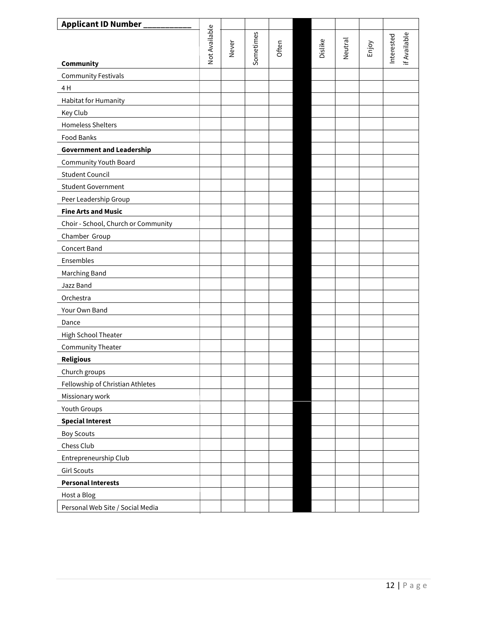| <b>Applicant ID Number</b>          |               |       |           |       |         |                |       |            |              |
|-------------------------------------|---------------|-------|-----------|-------|---------|----------------|-------|------------|--------------|
|                                     | Not Available |       | Sometimes |       |         |                |       | Interested | if Available |
|                                     |               | Never |           | Often | Dislike | <b>Neutral</b> | Enjoy |            |              |
| Community                           |               |       |           |       |         |                |       |            |              |
| <b>Community Festivals</b>          |               |       |           |       |         |                |       |            |              |
| 4 H                                 |               |       |           |       |         |                |       |            |              |
| Habitat for Humanity                |               |       |           |       |         |                |       |            |              |
| Key Club                            |               |       |           |       |         |                |       |            |              |
| <b>Homeless Shelters</b>            |               |       |           |       |         |                |       |            |              |
| Food Banks                          |               |       |           |       |         |                |       |            |              |
| <b>Government and Leadership</b>    |               |       |           |       |         |                |       |            |              |
| Community Youth Board               |               |       |           |       |         |                |       |            |              |
| <b>Student Council</b>              |               |       |           |       |         |                |       |            |              |
| <b>Student Government</b>           |               |       |           |       |         |                |       |            |              |
| Peer Leadership Group               |               |       |           |       |         |                |       |            |              |
| <b>Fine Arts and Music</b>          |               |       |           |       |         |                |       |            |              |
| Choir - School, Church or Community |               |       |           |       |         |                |       |            |              |
| Chamber Group                       |               |       |           |       |         |                |       |            |              |
| Concert Band                        |               |       |           |       |         |                |       |            |              |
| Ensembles                           |               |       |           |       |         |                |       |            |              |
| Marching Band                       |               |       |           |       |         |                |       |            |              |
| Jazz Band                           |               |       |           |       |         |                |       |            |              |
| Orchestra                           |               |       |           |       |         |                |       |            |              |
| Your Own Band                       |               |       |           |       |         |                |       |            |              |
| Dance                               |               |       |           |       |         |                |       |            |              |
| High School Theater                 |               |       |           |       |         |                |       |            |              |
| <b>Community Theater</b>            |               |       |           |       |         |                |       |            |              |
| <b>Religious</b>                    |               |       |           |       |         |                |       |            |              |
| Church groups                       |               |       |           |       |         |                |       |            |              |
| Fellowship of Christian Athletes    |               |       |           |       |         |                |       |            |              |
| Missionary work                     |               |       |           |       |         |                |       |            |              |
| Youth Groups                        |               |       |           |       |         |                |       |            |              |
| <b>Special Interest</b>             |               |       |           |       |         |                |       |            |              |
| <b>Boy Scouts</b>                   |               |       |           |       |         |                |       |            |              |
| Chess Club                          |               |       |           |       |         |                |       |            |              |
| Entrepreneurship Club               |               |       |           |       |         |                |       |            |              |
| <b>Girl Scouts</b>                  |               |       |           |       |         |                |       |            |              |
| <b>Personal Interests</b>           |               |       |           |       |         |                |       |            |              |
| Host a Blog                         |               |       |           |       |         |                |       |            |              |
| Personal Web Site / Social Media    |               |       |           |       |         |                |       |            |              |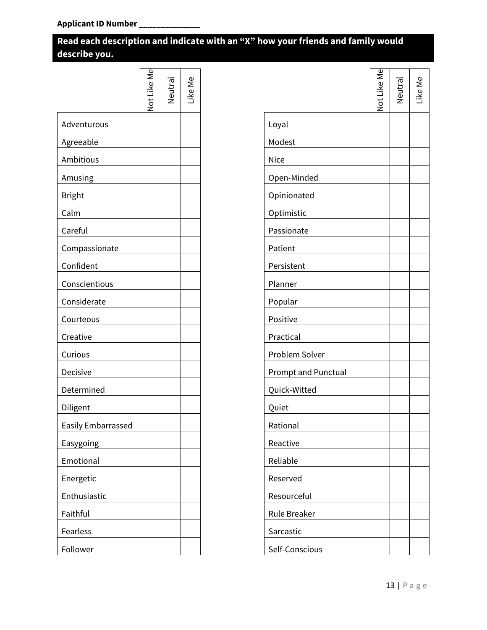# **Read each description and indicate with an "X" how your friends and family would describe you.**

|                    | Not Like Me | Neutra | Like Me |
|--------------------|-------------|--------|---------|
| Adventurous        |             |        |         |
| Agreeable          |             |        |         |
| Ambitious          |             |        |         |
| Amusing            |             |        |         |
| <b>Bright</b>      |             |        |         |
| Calm               |             |        |         |
| Careful            |             |        |         |
| Compassionate      |             |        |         |
| Confident          |             |        |         |
| Conscientious      |             |        |         |
| Considerate        |             |        |         |
| Courteous          |             |        |         |
| Creative           |             |        |         |
| Curious            |             |        |         |
| Decisive           |             |        |         |
| Determined         |             |        |         |
| Diligent           |             |        |         |
| Easily Embarrassed |             |        |         |
| Easygoing          |             |        |         |
| Emotional          |             |        |         |
| Energetic          |             |        |         |
| Enthusiastic       |             |        |         |
| Faithful           |             |        |         |
| Fearless           |             |        |         |
| Follower           |             |        |         |

|                            | Jot Like Me | Neutral | ike Me. |
|----------------------------|-------------|---------|---------|
| Loyal                      |             |         |         |
| Modest                     |             |         |         |
| Nice                       |             |         |         |
| Open-Minded                |             |         |         |
| Opinionated                |             |         |         |
| Optimistic                 |             |         |         |
| Passionate                 |             |         |         |
| Patient                    |             |         |         |
| Persistent                 |             |         |         |
| Planner                    |             |         |         |
| Popular                    |             |         |         |
| Positive                   |             |         |         |
| Practical                  |             |         |         |
| Problem Solver             |             |         |         |
| <b>Prompt and Punctual</b> |             |         |         |
| Quick-Witted               |             |         |         |
| Quiet                      |             |         |         |
| Rational                   |             |         |         |
| Reactive                   |             |         |         |
| Reliable                   |             |         |         |
| Reserved                   |             |         |         |
| Resourceful                |             |         |         |
| Rule Breaker               |             |         |         |
| Sarcastic                  |             |         |         |
| Self-Conscious             |             |         |         |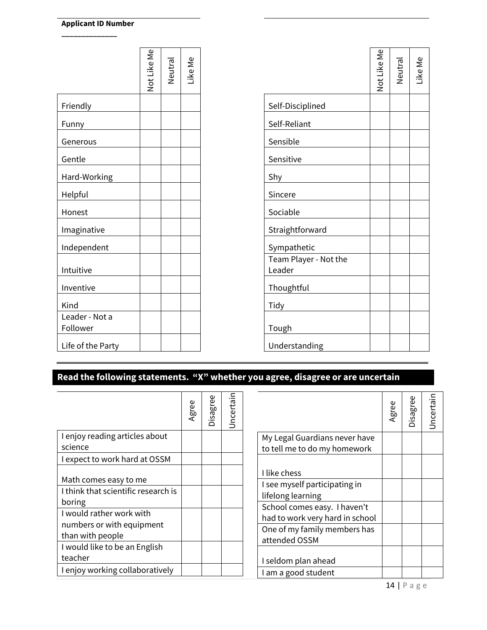**\_\_\_\_\_\_\_\_\_\_\_\_\_\_** 

|                            | Not Like Me | Neutral | Like Me |                                 | Not Like Me | Neutral | Like Me |
|----------------------------|-------------|---------|---------|---------------------------------|-------------|---------|---------|
| Friendly                   |             |         |         | Self-Disciplined                |             |         |         |
| Funny                      |             |         |         | Self-Reliant                    |             |         |         |
| Generous                   |             |         |         | Sensible                        |             |         |         |
| Gentle                     |             |         |         | Sensitive                       |             |         |         |
| Hard-Working               |             |         |         | Shy                             |             |         |         |
| Helpful                    |             |         |         | Sincere                         |             |         |         |
| Honest                     |             |         |         | Sociable                        |             |         |         |
| Imaginative                |             |         |         | Straightforward                 |             |         |         |
| Independent                |             |         |         | Sympathetic                     |             |         |         |
| Intuitive                  |             |         |         | Team Player - Not the<br>Leader |             |         |         |
| Inventive                  |             |         |         | Thoughtful                      |             |         |         |
| Kind                       |             |         |         | Tidy                            |             |         |         |
| Leader - Not a<br>Follower |             |         |         | Tough                           |             |         |         |
| Life of the Party          |             |         |         | Understanding                   |             |         |         |

# **Read the following statements. "X" whether you agree, disagree or are uncertain**

|                                               | Agree | Disagree | Jncertain |
|-----------------------------------------------|-------|----------|-----------|
| I enjoy reading articles about                |       |          |           |
| science                                       |       |          |           |
| I expect to work hard at OSSM                 |       |          |           |
| Math comes easy to me                         |       |          |           |
| I think that scientific research is<br>boring |       |          |           |
| I would rather work with                      |       |          |           |
| numbers or with equipment                     |       |          |           |
| than with people                              |       |          |           |
| I would like to be an English                 |       |          |           |
| teacher                                       |       |          |           |
| I enjoy working collaboratively               |       |          |           |

|                                                                 | Agree | Disagree | Jncertain |
|-----------------------------------------------------------------|-------|----------|-----------|
| My Legal Guardians never have<br>to tell me to do my homework   |       |          |           |
| I like chess                                                    |       |          |           |
| I see myself participating in<br>lifelong learning              |       |          |           |
| School comes easy. I haven't<br>had to work very hard in school |       |          |           |
| One of my family members has<br>attended OSSM                   |       |          |           |
| I seldom plan ahead                                             |       |          |           |
| I am a good student                                             |       |          |           |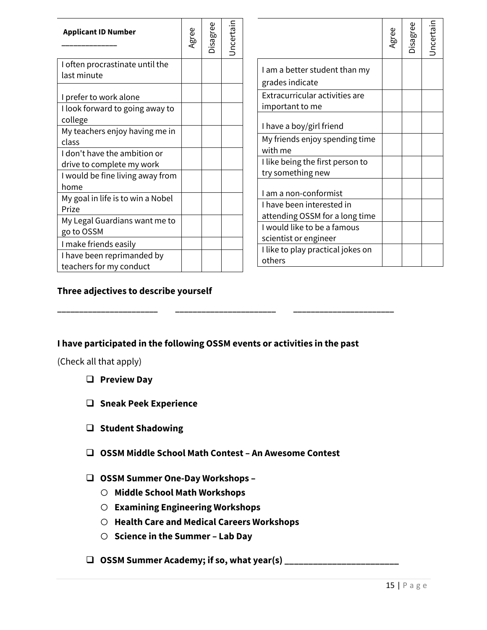| <b>Applicant ID Number</b>                                | Agree | Disagree | Jncertain | Jncertain<br>Disagree<br>Agree                                       |
|-----------------------------------------------------------|-------|----------|-----------|----------------------------------------------------------------------|
| I often procrastinate until the<br>last minute            |       |          |           | I am a better student than my<br>grades indicate                     |
| I prefer to work alone<br>I look forward to going away to |       |          |           | Extracurricular activities are<br>important to me                    |
| college<br>My teachers enjoy having me in                 |       |          |           | I have a boy/girl friend                                             |
| class                                                     |       |          |           | My friends enjoy spending time<br>with me                            |
| I don't have the ambition or<br>drive to complete my work |       |          |           | I like being the first person to                                     |
| I would be fine living away from<br>home                  |       |          |           | try something new                                                    |
| My goal in life is to win a Nobel<br>Prize                |       |          |           | I am a non-conformist<br>I have been interested in                   |
| My Legal Guardians want me to<br>go to OSSM               |       |          |           | attending OSSM for a long time<br>I would like to be a famous        |
| I make friends easily<br>I have been reprimanded by       |       |          |           | scientist or engineer<br>I like to play practical jokes on<br>others |
| teachers for my conduct                                   |       |          |           |                                                                      |

# **Three adjectives to describe yourself**

## **I have participated in the following OSSM events or activities in the past**

**\_\_\_\_\_\_\_\_\_\_\_\_\_\_\_\_\_\_\_\_\_\_\_ \_\_\_\_\_\_\_\_\_\_\_\_\_\_\_\_\_\_\_\_\_\_\_ \_\_\_\_\_\_\_\_\_\_\_\_\_\_\_\_\_\_\_\_\_\_\_**

(Check all that apply)

- **Preview Day**
- **Sneak Peek Experience**
- **Student Shadowing**
- **OSSM Middle School Math Contest – An Awesome Contest**

## **OSSM Summer One-Day Workshops –**

- o **Middle School Math Workshops**
- o **Examining Engineering Workshops**
- o **Health Care and Medical Careers Workshops**
- o **Science in the Summer – Lab Day**
- **OSSM Summer Academy; if so, what year(s) \_\_\_\_\_\_\_\_\_\_\_\_\_\_\_\_\_\_\_\_\_\_\_\_**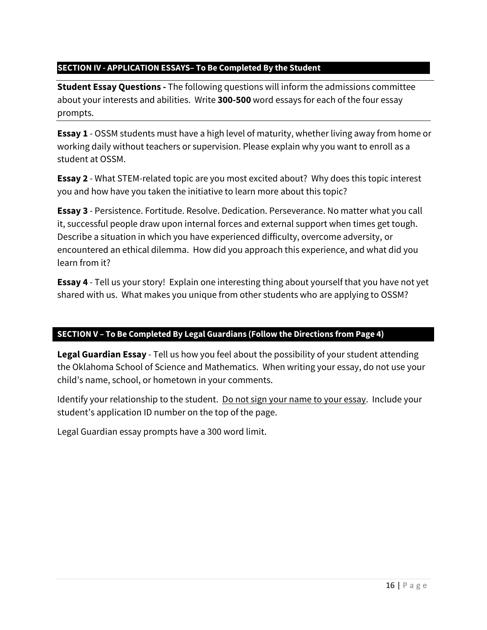## **SECTION IV - APPLICATION ESSAYS– To Be Completed By the Student**

**Student Essay Questions -** The following questions will inform the admissions committee about your interests and abilities. Write **300-500** word essays for each of the four essay prompts.

**Essay 1** - OSSM students must have a high level of maturity, whether living away from home or working daily without teachers or supervision. Please explain why you want to enroll as a student at OSSM.

**Essay 2** - What STEM-related topic are you most excited about? Why does this topic interest you and how have you taken the initiative to learn more about this topic?

**Essay 3** - Persistence. Fortitude. Resolve. Dedication. Perseverance. No matter what you call it, successful people draw upon internal forces and external support when times get tough. Describe a situation in which you have experienced difficulty, overcome adversity, or encountered an ethical dilemma. How did you approach this experience, and what did you learn from it?

**Essay 4** - Tell us your story! Explain one interesting thing about yourself that you have not yet shared with us. What makes you unique from other students who are applying to OSSM?

## **SECTION V – To Be Completed By Legal Guardians (Follow the Directions from Page 4)**

**Legal Guardian Essay** - Tell us how you feel about the possibility of your student attending the Oklahoma School of Science and Mathematics. When writing your essay, do not use your child's name, school, or hometown in your comments.

Identify your relationship to the student. Do not sign your name to your essay. Include your student's application ID number on the top of the page.

Legal Guardian essay prompts have a 300 word limit.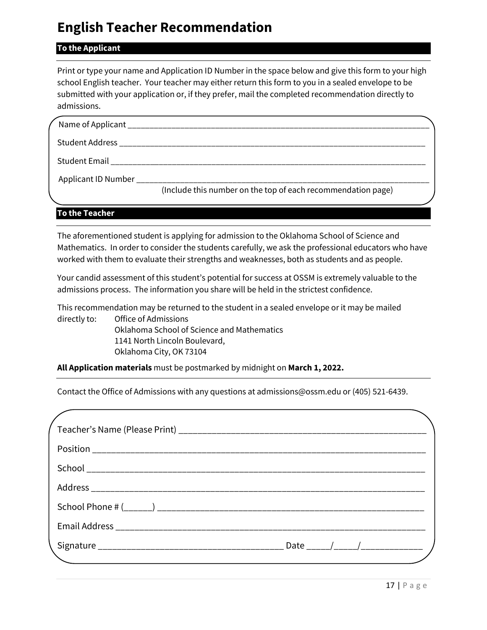# **English Teacher Recommendation**

## **To the Applicant**

Print or type your name and Application ID Number in the space below and give this form to your high school English teacher. Your teacher may either return this form to you in a sealed envelope to be submitted with your application or, if they prefer, mail the completed recommendation directly to admissions.

|                                                 | Student Email and the contract of the contract of the contract of the contract of the contract of the contract of the contract of the contract of the contract of the contract of the contract of the contract of the contract |  |
|-------------------------------------------------|--------------------------------------------------------------------------------------------------------------------------------------------------------------------------------------------------------------------------------|--|
| Applicant ID Number ___________________________ |                                                                                                                                                                                                                                |  |
|                                                 | (Include this number on the top of each recommendation page)                                                                                                                                                                   |  |

#### **To the Teacher**

The aforementioned student is applying for admission to the Oklahoma School of Science and Mathematics. In order to consider the students carefully, we ask the professional educators who have worked with them to evaluate their strengths and weaknesses, both as students and as people.

Your candid assessment of this student's potential for success at OSSM is extremely valuable to the admissions process. The information you share will be held in the strictest confidence.

This recommendation may be returned to the student in a sealed envelope or it may be mailed directly to: Office of Admissions Oklahoma School of Science and Mathematics 1141 North Lincoln Boulevard, Oklahoma City, OK 73104

**All Application materials** must be postmarked by midnight on **March 1, 2022.**

Contact the Office of Admissions with any questions at admissions@ossm.edu or (405) 521-6439.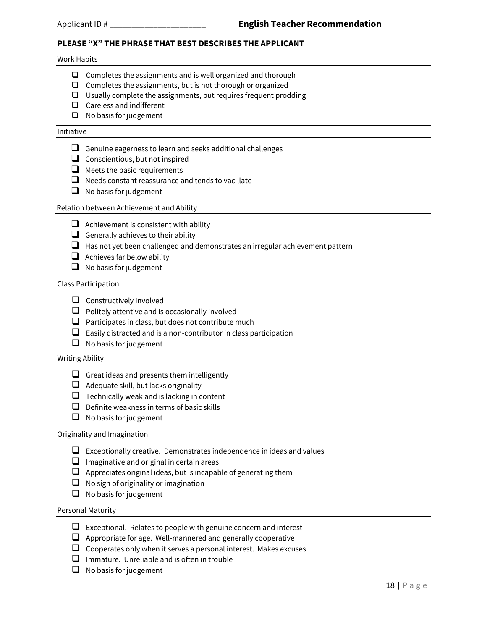#### **PLEASE "X" THE PHRASE THAT BEST DESCRIBES THE APPLICANT**

#### Work Habits

- $\Box$  Completes the assignments and is well organized and thorough
- $\Box$  Completes the assignments, but is not thorough or organized
- Usually complete the assignments, but requires frequent prodding
- □ Careless and indifferent
- $\Box$  No basis for judgement

#### Initiative

- Genuine eagerness to learn and seeks additional challenges
- $\Box$  Conscientious, but not inspired
- $\Box$  Meets the basic requirements
- $\Box$  Needs constant reassurance and tends to vacillate
- $\Box$  No basis for judgement

#### Relation between Achievement and Ability

- $\Box$  Achievement is consistent with ability
- Generally achieves to their ability
- $\Box$  Has not yet been challenged and demonstrates an irregular achievement pattern
- $\Box$  Achieves far below ability
- $\Box$  No basis for judgement

#### Class Participation

- $\Box$  Constructively involved
- $\Box$  Politely attentive and is occasionally involved
- $\Box$  Participates in class, but does not contribute much
- $\Box$  Easily distracted and is a non-contributor in class participation
- $\Box$  No basis for judgement

#### Writing Ability

- Great ideas and presents them intelligently
- $\Box$  Adequate skill, but lacks originality
- $\Box$  Technically weak and is lacking in content
- $\Box$  Definite weakness in terms of basic skills
- $\Box$  No basis for judgement

#### Originality and Imagination

- $\Box$  Exceptionally creative. Demonstrates independence in ideas and values
- $\Box$  Imaginative and original in certain areas
- $\Box$  Appreciates original ideas, but is incapable of generating them
- $\Box$  No sign of originality or imagination
- $\Box$  No basis for judgement

#### Personal Maturity

- $\Box$  Exceptional. Relates to people with genuine concern and interest
- $\Box$  Appropriate for age. Well-mannered and generally cooperative
- $\Box$  Cooperates only when it serves a personal interest. Makes excuses
- $\Box$  Immature. Unreliable and is often in trouble
- $\Box$  No basis for judgement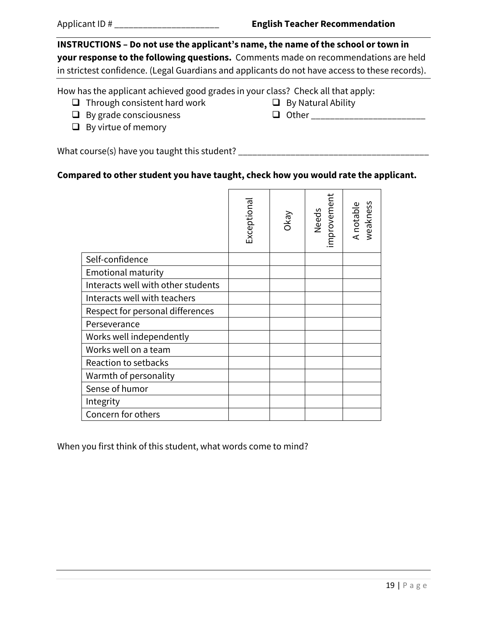**INSTRUCTIONS – Do not use the applicant's name, the name of the school or town in your response to the following questions.** Comments made on recommendations are held in strictest confidence. (Legal Guardians and applicants do not have access to these records).

How has the applicant achieved good grades in your class? Check all that apply:

- $\Box$  Through consistent hard work
- $\Box$  By grade consciousness
- $\Box$  By virtue of memory

 $\Box$  By Natural Ability  $\Box$  Other  $\Box$ 

What course(s) have you taught this student? \_\_\_\_\_\_\_\_\_\_\_\_\_\_\_\_\_\_\_\_\_\_\_\_\_\_\_\_\_\_\_\_\_\_\_\_\_\_\_\_

## **Compared to other student you have taught, check how you would rate the applicant.**

|                                    | Exceptiona | VeyO | Needs<br>improvement | A notable<br>weakness |
|------------------------------------|------------|------|----------------------|-----------------------|
| Self-confidence                    |            |      |                      |                       |
| <b>Emotional maturity</b>          |            |      |                      |                       |
| Interacts well with other students |            |      |                      |                       |
| Interacts well with teachers       |            |      |                      |                       |
| Respect for personal differences   |            |      |                      |                       |
| Perseverance                       |            |      |                      |                       |
| Works well independently           |            |      |                      |                       |
| Works well on a team               |            |      |                      |                       |
| Reaction to setbacks               |            |      |                      |                       |
| Warmth of personality              |            |      |                      |                       |
| Sense of humor                     |            |      |                      |                       |
| Integrity                          |            |      |                      |                       |
| Concern for others                 |            |      |                      |                       |

When you first think of this student, what words come to mind?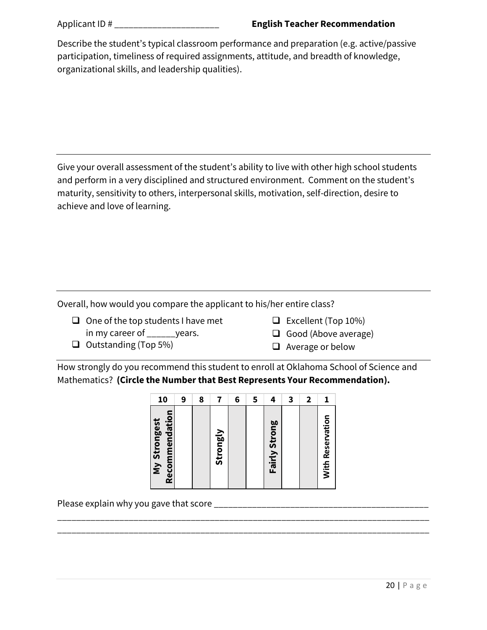| Describe the student's typical classroom performance and preparation (e.g. active/passive |
|-------------------------------------------------------------------------------------------|
| participation, timeliness of required assignments, attitude, and breadth of knowledge,    |
| organizational skills, and leadership qualities).                                         |

Give your overall assessment of the student's ability to live with other high school students and perform in a very disciplined and structured environment. Comment on the student's maturity, sensitivity to others, interpersonal skills, motivation, self-direction, desire to achieve and love of learning.

Overall, how would you compare the applicant to his/her entire class?

- $\Box$  One of the top students I have met in my career of vears.
- $\Box$  Excellent (Top 10%)

 $\Box$  Outstanding (Top 5%)

 $\Box$  Good (Above average)

 $\Box$  Average or below

How strongly do you recommend this student to enroll at Oklahoma School of Science and Mathematics? **(Circle the Number that Best Represents Your Recommendation).**

| 10                             | 9 | 8 |          | 6 | 5 | 4             | 3 | 2 |                  |
|--------------------------------|---|---|----------|---|---|---------------|---|---|------------------|
| Recommendation<br>My Strongest |   |   | Strongly |   |   | Fairly Strong |   |   | With Reservation |

\_\_\_\_\_\_\_\_\_\_\_\_\_\_\_\_\_\_\_\_\_\_\_\_\_\_\_\_\_\_\_\_\_\_\_\_\_\_\_\_\_\_\_\_\_\_\_\_\_\_\_\_\_\_\_\_\_\_\_\_\_\_\_\_\_\_\_\_\_\_\_\_\_\_\_\_\_\_ \_\_\_\_\_\_\_\_\_\_\_\_\_\_\_\_\_\_\_\_\_\_\_\_\_\_\_\_\_\_\_\_\_\_\_\_\_\_\_\_\_\_\_\_\_\_\_\_\_\_\_\_\_\_\_\_\_\_\_\_\_\_\_\_\_\_\_\_\_\_\_\_\_\_\_\_\_\_

Please explain why you gave that score \_\_\_\_\_\_\_\_\_\_\_\_\_\_\_\_\_\_\_\_\_\_\_\_\_\_\_\_\_\_\_\_\_\_\_\_\_\_\_\_\_\_\_\_\_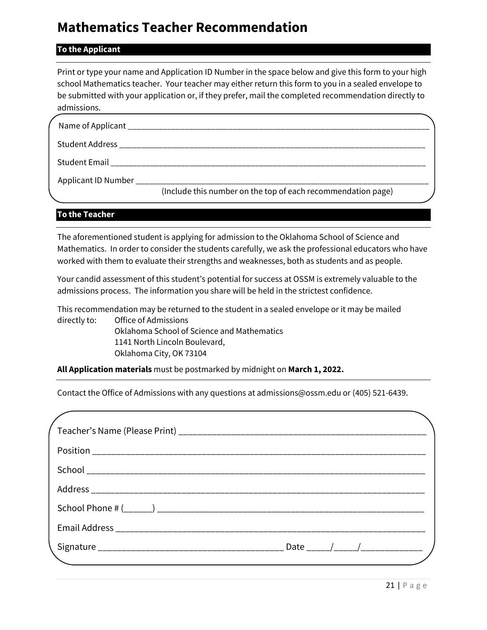# **Mathematics Teacher Recommendation**

## **To the Applicant**

Print or type your name and Application ID Number in the space below and give this form to your high school Mathematics teacher. Your teacher may either return this form to you in a sealed envelope to be submitted with your application or, if they prefer, mail the completed recommendation directly to admissions.

| Student Email                                |                                                              |  |
|----------------------------------------------|--------------------------------------------------------------|--|
| Applicant ID Number ________________________ | (Include this number on the top of each recommendation page) |  |

#### **To the Teacher**

The aforementioned student is applying for admission to the Oklahoma School of Science and Mathematics. In order to consider the students carefully, we ask the professional educators who have worked with them to evaluate their strengths and weaknesses, both as students and as people.

Your candid assessment of this student's potential for success at OSSM is extremely valuable to the admissions process. The information you share will be held in the strictest confidence.

This recommendation may be returned to the student in a sealed envelope or it may be mailed directly to: Office of Admissions Oklahoma School of Science and Mathematics 1141 North Lincoln Boulevard, Oklahoma City, OK 73104

**All Application materials** must be postmarked by midnight on **March 1, 2022.**

Contact the Office of Admissions with any questions at admissions@ossm.edu or (405) 521-6439.

| Date $\frac{1}{\sqrt{1-\frac{1}{2}}}\frac{1}{\sqrt{1-\frac{1}{2}}}\frac{1}{\sqrt{1-\frac{1}{2}}}\frac{1}{\sqrt{1-\frac{1}{2}}}\frac{1}{\sqrt{1-\frac{1}{2}}}\frac{1}{\sqrt{1-\frac{1}{2}}}\frac{1}{\sqrt{1-\frac{1}{2}}}\frac{1}{\sqrt{1-\frac{1}{2}}}\frac{1}{\sqrt{1-\frac{1}{2}}}\frac{1}{\sqrt{1-\frac{1}{2}}}\frac{1}{\sqrt{1-\frac{1}{2}}}\frac{1}{\sqrt{1-\frac{1}{2}}}\frac{1}{\sqrt{1-\frac{1}{2}}}\frac{1}{\sqrt$ |
|-----------------------------------------------------------------------------------------------------------------------------------------------------------------------------------------------------------------------------------------------------------------------------------------------------------------------------------------------------------------------------------------------------------------------------|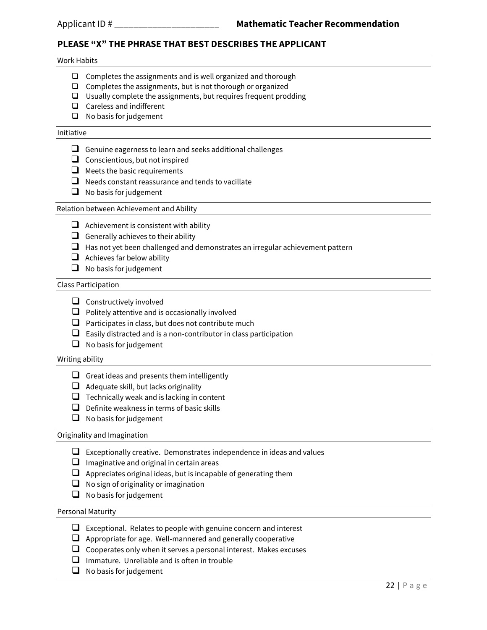## **PLEASE "X" THE PHRASE THAT BEST DESCRIBES THE APPLICANT**

#### Work Habits

- $\Box$  Completes the assignments and is well organized and thorough
- $\Box$  Completes the assignments, but is not thorough or organized
- $\square$  Usually complete the assignments, but requires frequent prodding
- $\Box$  Careless and indifferent
- $\Box$  No basis for judgement

#### Initiative

- $\Box$  Genuine eagerness to learn and seeks additional challenges
- $\Box$  Conscientious, but not inspired
- $\Box$  Meets the basic requirements
- $\Box$  Needs constant reassurance and tends to vacillate
- $\Box$  No basis for judgement

#### Relation between Achievement and Ability

- $\Box$  Achievement is consistent with ability
- Generally achieves to their ability
- $\Box$  Has not yet been challenged and demonstrates an irregular achievement pattern
- $\Box$  Achieves far below ability
- $\Box$  No basis for judgement

#### Class Participation

- $\Box$  Constructively involved
- $\Box$  Politely attentive and is occasionally involved
- $\Box$  Participates in class, but does not contribute much
- $\Box$  Easily distracted and is a non-contributor in class participation
- $\Box$  No basis for judgement

#### Writing ability

- Great ideas and presents them intelligently
- $\Box$  Adequate skill, but lacks originality
- $\Box$  Technically weak and is lacking in content
- $\Box$  Definite weakness in terms of basic skills
- $\Box$  No basis for judgement

#### Originality and Imagination

- $\Box$  Exceptionally creative. Demonstrates independence in ideas and values
- $\Box$  Imaginative and original in certain areas
- $\Box$  Appreciates original ideas, but is incapable of generating them
- $\Box$  No sign of originality or imagination
- $\Box$  No basis for judgement

#### Personal Maturity

- $\Box$  Exceptional. Relates to people with genuine concern and interest
- $\Box$  Appropriate for age. Well-mannered and generally cooperative
- $\Box$  Cooperates only when it serves a personal interest. Makes excuses
- $\Box$  Immature. Unreliable and is often in trouble
- $\Box$  No basis for judgement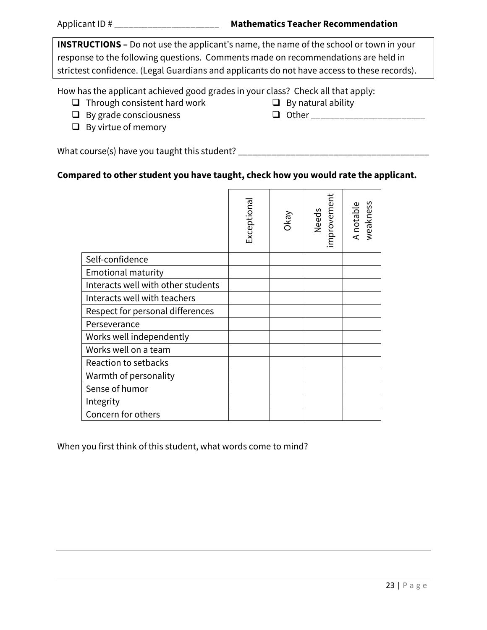**INSTRUCTIONS –** Do not use the applicant's name, the name of the school or town in your response to the following questions. Comments made on recommendations are held in strictest confidence. (Legal Guardians and applicants do not have access to these records).

How has the applicant achieved good grades in your class? Check all that apply:

- $\Box$  Through consistent hard work
- $\Box$  By grade consciousness
- $\Box$  By virtue of memory

 $\Box$  By natural ability Other \_\_\_\_\_\_\_\_\_\_\_\_\_\_\_\_\_\_\_\_\_\_\_\_

What course(s) have you taught this student? \_\_\_\_\_\_\_\_\_\_\_\_\_\_\_\_\_\_\_\_\_\_\_\_\_\_\_\_\_\_\_\_\_\_\_\_\_\_\_\_

## **Compared to other student you have taught, check how you would rate the applicant.**

|                                    | Exceptiona | VeyO | Needs<br>improvement | A notable<br>weakness |
|------------------------------------|------------|------|----------------------|-----------------------|
| Self-confidence                    |            |      |                      |                       |
| <b>Emotional maturity</b>          |            |      |                      |                       |
| Interacts well with other students |            |      |                      |                       |
| Interacts well with teachers       |            |      |                      |                       |
| Respect for personal differences   |            |      |                      |                       |
| Perseverance                       |            |      |                      |                       |
| Works well independently           |            |      |                      |                       |
| Works well on a team               |            |      |                      |                       |
| Reaction to setbacks               |            |      |                      |                       |
| Warmth of personality              |            |      |                      |                       |
| Sense of humor                     |            |      |                      |                       |
| Integrity                          |            |      |                      |                       |
| Concern for others                 |            |      |                      |                       |

When you first think of this student, what words come to mind?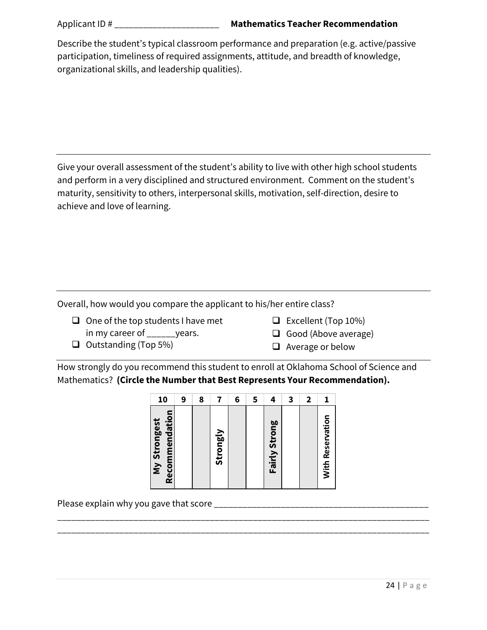| Describe the student's typical classroom performance and preparation (e.g. active/passive |
|-------------------------------------------------------------------------------------------|
| participation, timeliness of required assignments, attitude, and breadth of knowledge,    |
| organizational skills, and leadership qualities).                                         |

Give your overall assessment of the student's ability to live with other high school students and perform in a very disciplined and structured environment. Comment on the student's maturity, sensitivity to others, interpersonal skills, motivation, self-direction, desire to achieve and love of learning.

Overall, how would you compare the applicant to his/her entire class?

- $\Box$  One of the top students I have met in my career of vears.
	- $\Box$  Excellent (Top 10%)
- $\Box$  Outstanding (Top 5%)

 $\Box$  Good (Above average)

 $\Box$  Average or below

How strongly do you recommend this student to enroll at Oklahoma School of Science and Mathematics? **(Circle the Number that Best Represents Your Recommendation).**

| 10                             | 9 | 8 |          | 6 | 5 | 4             | 3 | 2 |                         |
|--------------------------------|---|---|----------|---|---|---------------|---|---|-------------------------|
| Recommendation<br>My Strongest |   |   | Strongly |   |   | Fairly Strong |   |   | <b>With Reservation</b> |

\_\_\_\_\_\_\_\_\_\_\_\_\_\_\_\_\_\_\_\_\_\_\_\_\_\_\_\_\_\_\_\_\_\_\_\_\_\_\_\_\_\_\_\_\_\_\_\_\_\_\_\_\_\_\_\_\_\_\_\_\_\_\_\_\_\_\_\_\_\_\_\_\_\_\_\_\_\_ \_\_\_\_\_\_\_\_\_\_\_\_\_\_\_\_\_\_\_\_\_\_\_\_\_\_\_\_\_\_\_\_\_\_\_\_\_\_\_\_\_\_\_\_\_\_\_\_\_\_\_\_\_\_\_\_\_\_\_\_\_\_\_\_\_\_\_\_\_\_\_\_\_\_\_\_\_\_

Please explain why you gave that score \_\_\_\_\_\_\_\_\_\_\_\_\_\_\_\_\_\_\_\_\_\_\_\_\_\_\_\_\_\_\_\_\_\_\_\_\_\_\_\_\_\_\_\_\_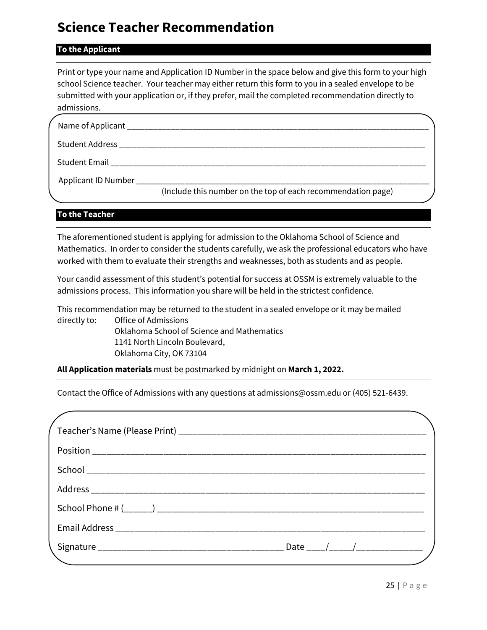# **Science Teacher Recommendation**

#### **To the Applicant**

Print or type your name and Application ID Number in the space below and give this form to your high school Science teacher. Your teacher may either return this form to you in a sealed envelope to be submitted with your application or, if they prefer, mail the completed recommendation directly to admissions.

| Name of Applicant ________________________     |                                                              |  |
|------------------------------------------------|--------------------------------------------------------------|--|
| Student Address ____________________           |                                                              |  |
| Student Email                                  |                                                              |  |
| Applicant ID Number __________________________ | (Include this number on the top of each recommendation page) |  |

## **To the Teacher**

The aforementioned student is applying for admission to the Oklahoma School of Science and Mathematics. In order to consider the students carefully, we ask the professional educators who have worked with them to evaluate their strengths and weaknesses, both as students and as people.

Your candid assessment of this student's potential for success at OSSM is extremely valuable to the admissions process. This information you share will be held in the strictest confidence.

This recommendation may be returned to the student in a sealed envelope or it may be mailed directly to: Office of Admissions Oklahoma School of Science and Mathematics 1141 North Lincoln Boulevard, Oklahoma City, OK 73104

**All Application materials** must be postmarked by midnight on **March 1, 2022.**

Contact the Office of Admissions with any questions at admissions@ossm.edu or (405) 521-6439.

| Date $\frac{1}{\sqrt{1-\frac{1}{2}}}\frac{1}{\sqrt{1-\frac{1}{2}}}\frac{1}{\sqrt{1-\frac{1}{2}}}\frac{1}{\sqrt{1-\frac{1}{2}}}\frac{1}{\sqrt{1-\frac{1}{2}}}\frac{1}{\sqrt{1-\frac{1}{2}}}\frac{1}{\sqrt{1-\frac{1}{2}}}\frac{1}{\sqrt{1-\frac{1}{2}}}\frac{1}{\sqrt{1-\frac{1}{2}}}\frac{1}{\sqrt{1-\frac{1}{2}}}\frac{1}{\sqrt{1-\frac{1}{2}}}\frac{1}{\sqrt{1-\frac{1}{2}}}\frac{1}{\sqrt{1-\frac{1}{2}}}\frac{1}{\sqrt$ |
|-----------------------------------------------------------------------------------------------------------------------------------------------------------------------------------------------------------------------------------------------------------------------------------------------------------------------------------------------------------------------------------------------------------------------------|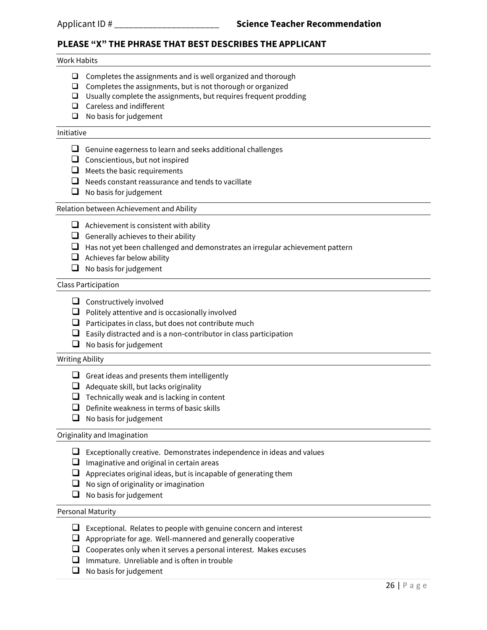## **PLEASE "X" THE PHRASE THAT BEST DESCRIBES THE APPLICANT**

#### Work Habits

- $\Box$  Completes the assignments and is well organized and thorough
- $\Box$  Completes the assignments, but is not thorough or organized
- $\square$  Usually complete the assignments, but requires frequent prodding
- $\Box$  Careless and indifferent
- $\Box$  No basis for judgement

#### Initiative

- $\Box$  Genuine eagerness to learn and seeks additional challenges
- $\Box$  Conscientious, but not inspired
- $\Box$  Meets the basic requirements
- $\Box$  Needs constant reassurance and tends to vacillate
- $\Box$  No basis for judgement

#### Relation between Achievement and Ability

- $\Box$  Achievement is consistent with ability
- Generally achieves to their ability
- $\Box$  Has not yet been challenged and demonstrates an irregular achievement pattern
- $\Box$  Achieves far below ability
- $\Box$  No basis for judgement

#### Class Participation

- $\Box$  Constructively involved
- $\Box$  Politely attentive and is occasionally involved
- $\Box$  Participates in class, but does not contribute much
- $\Box$  Easily distracted and is a non-contributor in class participation
- $\Box$  No basis for judgement

#### Writing Ability

- Great ideas and presents them intelligently
- $\Box$  Adequate skill, but lacks originality
- $\Box$  Technically weak and is lacking in content
- $\Box$  Definite weakness in terms of basic skills
- $\Box$  No basis for judgement

#### Originality and Imagination

- $\Box$  Exceptionally creative. Demonstrates independence in ideas and values
- $\Box$  Imaginative and original in certain areas
- $\Box$  Appreciates original ideas, but is incapable of generating them
- $\Box$  No sign of originality or imagination
- $\Box$  No basis for judgement

#### Personal Maturity

- $\Box$  Exceptional. Relates to people with genuine concern and interest
- $\Box$  Appropriate for age. Well-mannered and generally cooperative
- $\Box$  Cooperates only when it serves a personal interest. Makes excuses
- $\Box$  Immature. Unreliable and is often in trouble
- $\Box$  No basis for judgement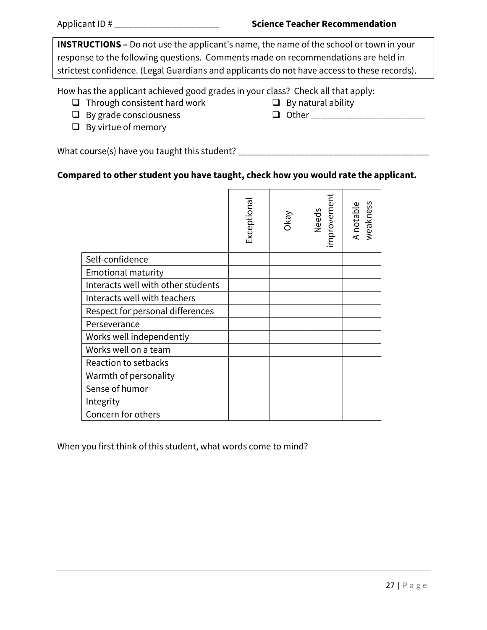**INSTRUCTIONS –** Do not use the applicant's name, the name of the school or town in your response to the following questions. Comments made on recommendations are held in strictest confidence. (Legal Guardians and applicants do not have access to these records).

How has the applicant achieved good grades in your class? Check all that apply:

- $\Box$  Through consistent hard work
- $\Box$  By grade consciousness
- $\Box$  By virtue of memory

 $\Box$  By natural ability Other \_\_\_\_\_\_\_\_\_\_\_\_\_\_\_\_\_\_\_\_\_\_\_\_

What course(s) have you taught this student? \_\_\_\_\_\_\_\_\_\_\_\_\_\_\_\_\_\_\_\_\_\_\_\_\_\_\_\_\_\_\_\_\_\_\_\_\_\_\_\_

# **Compared to other student you have taught, check how you would rate the applicant.**

|                                    | Exceptiona | Okay | Needs<br>improvement | A notable<br>weakness |
|------------------------------------|------------|------|----------------------|-----------------------|
| Self-confidence                    |            |      |                      |                       |
| <b>Emotional maturity</b>          |            |      |                      |                       |
| Interacts well with other students |            |      |                      |                       |
| Interacts well with teachers       |            |      |                      |                       |
| Respect for personal differences   |            |      |                      |                       |
| Perseverance                       |            |      |                      |                       |
| Works well independently           |            |      |                      |                       |
| Works well on a team               |            |      |                      |                       |
| Reaction to setbacks               |            |      |                      |                       |
| Warmth of personality              |            |      |                      |                       |
| Sense of humor                     |            |      |                      |                       |
| Integrity                          |            |      |                      |                       |
| Concern for others                 |            |      |                      |                       |

When you first think of this student, what words come to mind?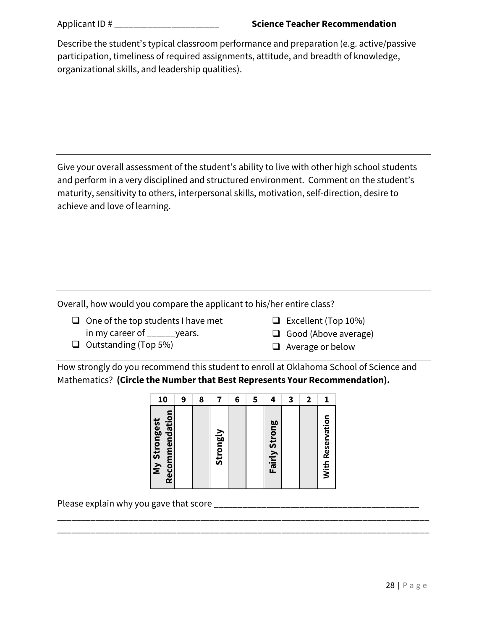| Describe the student's typical classroom performance and preparation (e.g. active/passive |
|-------------------------------------------------------------------------------------------|
| participation, timeliness of required assignments, attitude, and breadth of knowledge,    |
| organizational skills, and leadership qualities).                                         |

Give your overall assessment of the student's ability to live with other high school students and perform in a very disciplined and structured environment. Comment on the student's maturity, sensitivity to others, interpersonal skills, motivation, self-direction, desire to achieve and love of learning.

Overall, how would you compare the applicant to his/her entire class?

- $\Box$  One of the top students I have met in my career of vears.
	-
- $\Box$  Excellent (Top 10%)
- $\Box$  Good (Above average)

 $\Box$  Outstanding (Top 5%)

 $\Box$  Average or below

How strongly do you recommend this student to enroll at Oklahoma School of Science and Mathematics? **(Circle the Number that Best Represents Your Recommendation).**

| 10                             | 9 | 8 |          | 6 | 5 | 4             | 3 | 2 |                         |
|--------------------------------|---|---|----------|---|---|---------------|---|---|-------------------------|
| Recommendation<br>My Strongest |   |   | Strongly |   |   | Fairly Strong |   |   | <b>With Reservation</b> |

\_\_\_\_\_\_\_\_\_\_\_\_\_\_\_\_\_\_\_\_\_\_\_\_\_\_\_\_\_\_\_\_\_\_\_\_\_\_\_\_\_\_\_\_\_\_\_\_\_\_\_\_\_\_\_\_\_\_\_\_\_\_\_\_\_\_\_\_\_\_\_\_\_\_\_\_\_\_ \_\_\_\_\_\_\_\_\_\_\_\_\_\_\_\_\_\_\_\_\_\_\_\_\_\_\_\_\_\_\_\_\_\_\_\_\_\_\_\_\_\_\_\_\_\_\_\_\_\_\_\_\_\_\_\_\_\_\_\_\_\_\_\_\_\_\_\_\_\_\_\_\_\_\_\_\_\_

Please explain why you gave that score \_\_\_\_\_\_\_\_\_\_\_\_\_\_\_\_\_\_\_\_\_\_\_\_\_\_\_\_\_\_\_\_\_\_\_\_\_\_\_\_\_\_\_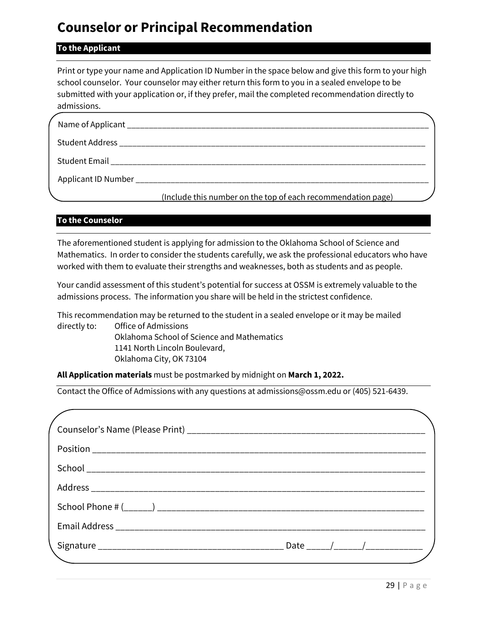# **Counselor or Principal Recommendation**

## **To the Applicant**

Print or type your name and Application ID Number in the space below and give this form to your high school counselor. Your counselor may either return this form to you in a sealed envelope to be submitted with your application or, if they prefer, mail the completed recommendation directly to admissions.

| Student Address National Address            |                                                              |  |
|---------------------------------------------|--------------------------------------------------------------|--|
| Student Email <b>Exercise Student Email</b> |                                                              |  |
| Applicant ID Number ___________________     |                                                              |  |
|                                             | (Include this number on the top of each recommendation page) |  |

## **To the Counselor**

The aforementioned student is applying for admission to the Oklahoma School of Science and Mathematics. In order to consider the students carefully, we ask the professional educators who have worked with them to evaluate their strengths and weaknesses, both as students and as people.

Your candid assessment of this student's potential for success at OSSM is extremely valuable to the admissions process. The information you share will be held in the strictest confidence.

This recommendation may be returned to the student in a sealed envelope or it may be mailed directly to: Office of Admissions Oklahoma School of Science and Mathematics 1141 North Lincoln Boulevard, Oklahoma City, OK 73104

**All Application materials** must be postmarked by midnight on **March 1, 2022.**

Contact the Office of Admissions with any questions at admissions@ossm.edu or (405) 521-6439.

| Date _____/______/_____________ |
|---------------------------------|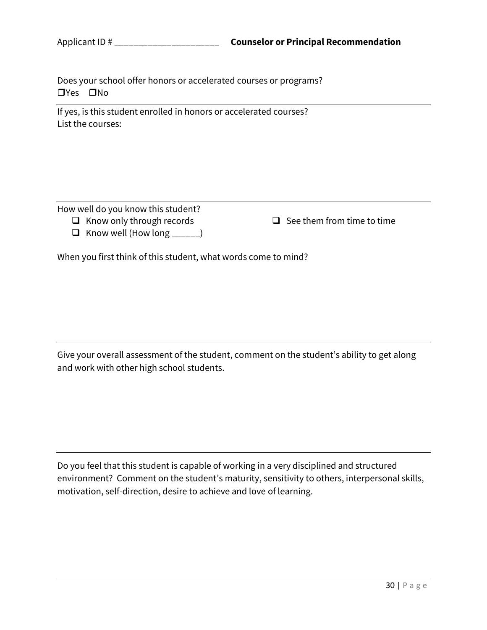Does your school offer honors or accelerated courses or programs?  $\n **TV**es **IN**o\n$ 

If yes, is this student enrolled in honors or accelerated courses? List the courses:

How well do you know this student?

 $\Box$  Know only through records

 $\Box$  Know well (How long \_\_\_\_\_)

 $\Box$  See them from time to time

When you first think of this student, what words come to mind?

Give your overall assessment of the student, comment on the student's ability to get along and work with other high school students.

Do you feel that this student is capable of working in a very disciplined and structured environment? Comment on the student's maturity, sensitivity to others, interpersonal skills, motivation, self-direction, desire to achieve and love of learning.